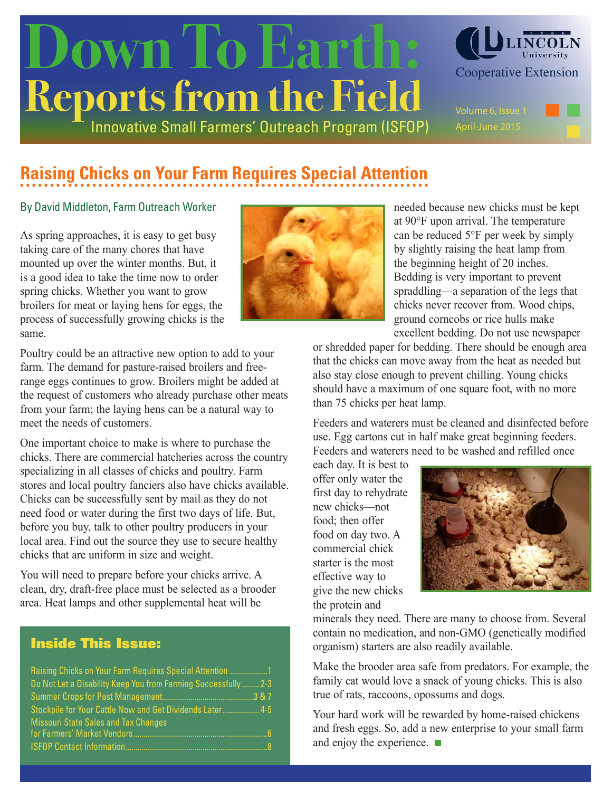# Innovative Small Farmers' Outreach Program (ISFOP) **Reports from the Field** OWN To Earth: CLUNCOLN



# **Raising Chicks on Your Farm Requires Special Attention**

#### By David Middleton, Farm Outreach Worker

As spring approaches, it is easy to get busy taking care of the many chores that have mounted up over the winter months. But, it is a good idea to take the time now to order spring chicks. Whether you want to grow broilers for meat or laying hens for eggs, the process of successfully growing chicks is the same.

Poultry could be an attractive new option to add to your farm. The demand for pasture-raised broilers and freerange eggs continues to grow. Broilers might be added at the request of customers who already purchase other meats from your farm; the laying hens can be a natural way to meet the needs of customers.

One important choice to make is where to purchase the chicks. There are commercial hatcheries across the country specializing in all classes of chicks and poultry. Farm stores and local poultry fanciers also have chicks available. Chicks can be successfully sent by mail as they do not need food or water during the first two days of life. But, before you buy, talk to other poultry producers in your local area. Find out the source they use to secure healthy chicks that are uniform in size and weight.

You will need to prepare before your chicks arrive. A clean, dry, draft-free place must be selected as a brooder area. Heat lamps and other supplemental heat will be

### Inside This Issue:

| Raising Chicks on Your Farm Requires Special Attention 1        |
|-----------------------------------------------------------------|
| Do Not Let a Disability Keep You from Farming Successfully  2-3 |
|                                                                 |
| Stockpile for Your Cattle Now and Get Dividends Later 4-5       |
| <b>Missouri State Sales and Tax Changes</b>                     |
| $\sqrt{6}$                                                      |
| $-1.8$                                                          |



needed because new chicks must be kept at 90°F upon arrival. The temperature can be reduced 5°F per week by simply by slightly raising the heat lamp from the beginning height of 20 inches. Bedding is very important to prevent spraddling—a separation of the legs that chicks never recover from. Wood chips, ground corncobs or rice hulls make excellent bedding. Do not use newspaper

or shredded paper for bedding. There should be enough area that the chicks can move away from the heat as needed but also stay close enough to prevent chilling. Young chicks should have a maximum of one square foot, with no more than 75 chicks per heat lamp.

Feeders and waterers must be cleaned and disinfected before use. Egg cartons cut in half make great beginning feeders. Feeders and waterers need to be washed and refilled once

each day. It is best to offer only water the first day to rehydrate new chicks—not food; then offer food on day two. A commercial chick starter is the most effective way to give the new chicks the protein and



minerals they need. There are many to choose from. Several contain no medication, and non-GMO (genetically modified organism) starters are also readily available.

Make the brooder area safe from predators. For example, the family cat would love a snack of young chicks. This is also true of rats, raccoons, opossums and dogs.

Your hard work will be rewarded by home-raised chickens and fresh eggs. So, add a new enterprise to your small farm and enjoy the experience.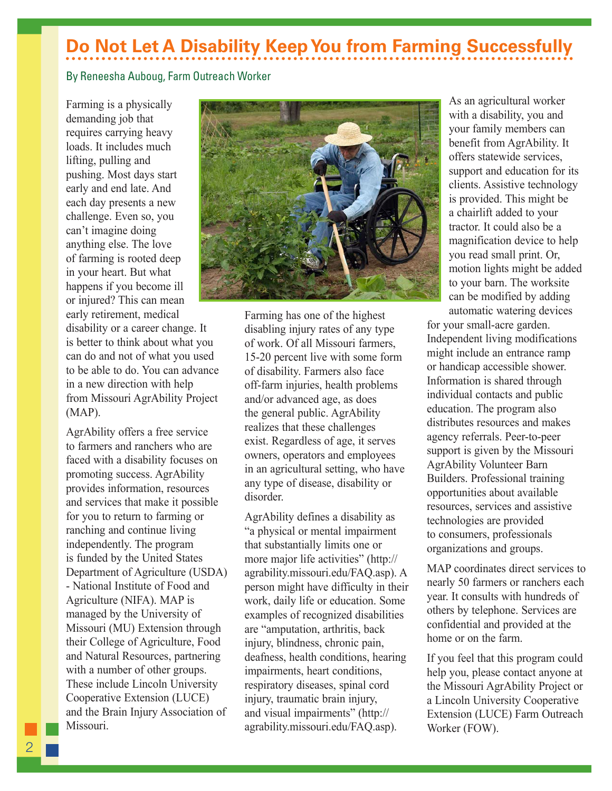# **Do Not Let A Disability Keep You from Farming Successfully**

#### By Reneesha Auboug, Farm Outreach Worker

Farming is a physically demanding job that requires carrying heavy loads. It includes much lifting, pulling and pushing. Most days start early and end late. And each day presents a new challenge. Even so, you can't imagine doing anything else. The love of farming is rooted deep in your heart. But what happens if you become ill or injured? This can mean early retirement, medical disability or a career change. It is better to think about what you can do and not of what you used to be able to do. You can advance in a new direction with help from Missouri AgrAbility Project (MAP).

AgrAbility offers a free service to farmers and ranchers who are faced with a disability focuses on promoting success. AgrAbility provides information, resources and services that make it possible for you to return to farming or ranching and continue living independently. The program is funded by the United States Department of Agriculture (USDA) - National Institute of Food and Agriculture (NIFA). MAP is managed by the University of Missouri (MU) Extension through their College of Agriculture, Food and Natural Resources, partnering with a number of other groups. These include Lincoln University Cooperative Extension (LUCE) and the Brain Injury Association of Missouri.



Farming has one of the highest disabling injury rates of any type of work. Of all Missouri farmers, 15-20 percent live with some form of disability. Farmers also face off-farm injuries, health problems and/or advanced age, as does the general public. AgrAbility realizes that these challenges exist. Regardless of age, it serves owners, operators and employees in an agricultural setting, who have any type of disease, disability or disorder.

AgrAbility defines a disability as "a physical or mental impairment that substantially limits one or more major life activities" (http:// agrability.missouri.edu/FAQ.asp). A person might have difficulty in their work, daily life or education. Some examples of recognized disabilities are "amputation, arthritis, back injury, blindness, chronic pain, deafness, health conditions, hearing impairments, heart conditions, respiratory diseases, spinal cord injury, traumatic brain injury, and visual impairments" (http:// agrability.missouri.edu/FAQ.asp).

As an agricultural worker with a disability, you and your family members can benefit from AgrAbility. It offers statewide services, support and education for its clients. Assistive technology is provided. This might be a chairlift added to your tractor. It could also be a magnification device to help you read small print. Or, motion lights might be added to your barn. The worksite can be modified by adding automatic watering devices

for your small-acre garden. Independent living modifications might include an entrance ramp or handicap accessible shower. Information is shared through individual contacts and public education. The program also distributes resources and makes agency referrals. Peer-to-peer support is given by the Missouri AgrAbility Volunteer Barn Builders. Professional training opportunities about available resources, services and assistive technologies are provided to consumers, professionals organizations and groups.

MAP coordinates direct services to nearly 50 farmers or ranchers each year. It consults with hundreds of others by telephone. Services are confidential and provided at the home or on the farm.

If you feel that this program could help you, please contact anyone at the Missouri AgrAbility Project or a Lincoln University Cooperative Extension (LUCE) Farm Outreach Worker (FOW).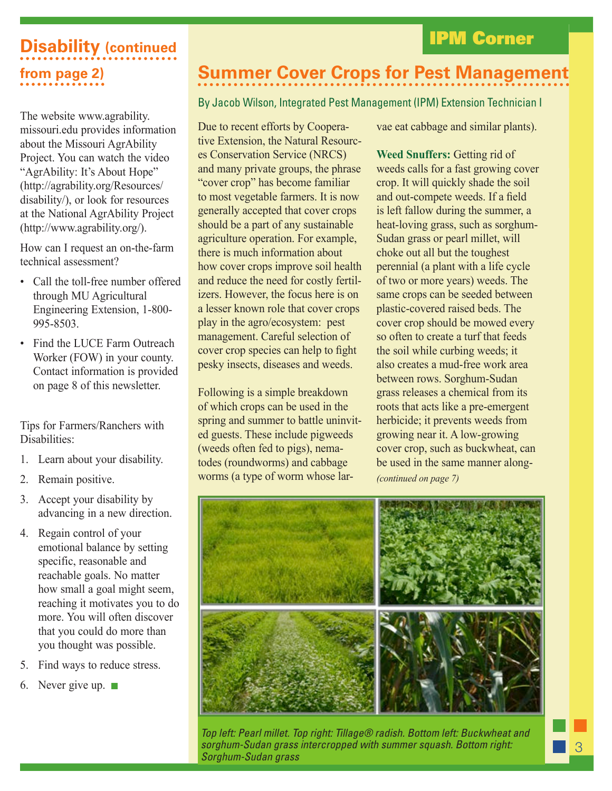### IPM Corner

# **Disability (continued from page 2)**

The website www.agrability. missouri.edu provides information about the Missouri AgrAbility Project. You can watch the video "AgrAbility: It's About Hope" (http://agrability.org/Resources/ disability/), or look for resources at the National AgrAbility Project (http://www.agrability.org/).

How can I request an on-the-farm technical assessment?

- Call the toll-free number offered through MU Agricultural Engineering Extension, 1-800- 995-8503.
- Find the LUCE Farm Outreach Worker (FOW) in your county. Contact information is provided on page 8 of this newsletter.

Tips for Farmers/Ranchers with Disabilities:

- 1. Learn about your disability.
- 2. Remain positive.
- 3. Accept your disability by advancing in a new direction.
- 4. Regain control of your emotional balance by setting specific, reasonable and reachable goals. No matter how small a goal might seem, reaching it motivates you to do more. You will often discover that you could do more than you thought was possible.
- 5. Find ways to reduce stress.
- 6. Never give up.  $\blacksquare$

### **Summer Cover Crops for Pest Management**

### By Jacob Wilson, Integrated Pest Management (IPM) Extension Technician I

Due to recent efforts by Cooperative Extension, the Natural Resources Conservation Service (NRCS) and many private groups, the phrase "cover crop" has become familiar to most vegetable farmers. It is now generally accepted that cover crops should be a part of any sustainable agriculture operation. For example, there is much information about how cover crops improve soil health and reduce the need for costly fertilizers. However, the focus here is on a lesser known role that cover crops play in the agro/ecosystem: pest management. Careful selection of cover crop species can help to fight pesky insects, diseases and weeds.

Following is a simple breakdown of which crops can be used in the spring and summer to battle uninvited guests. These include pigweeds (weeds often fed to pigs), nematodes (roundworms) and cabbage worms (a type of worm whose larvae eat cabbage and similar plants).

*(continued on page 7)* **Weed Snuffers:** Getting rid of weeds calls for a fast growing cover crop. It will quickly shade the soil and out-compete weeds. If a field is left fallow during the summer, a heat-loving grass, such as sorghum-Sudan grass or pearl millet, will choke out all but the toughest perennial (a plant with a life cycle of two or more years) weeds. The same crops can be seeded between plastic-covered raised beds. The cover crop should be mowed every so often to create a turf that feeds the soil while curbing weeds; it also creates a mud-free work area between rows. Sorghum-Sudan grass releases a chemical from its roots that acts like a pre-emergent herbicide; it prevents weeds from growing near it. A low-growing cover crop, such as buckwheat, can be used in the same manner along-



*Top left: Pearl millet. Top right: Tillage® radish. Bottom left: Buckwheat and sorghum-Sudan grass intercropped with summer squash. Bottom right: Sorghum-Sudan grass*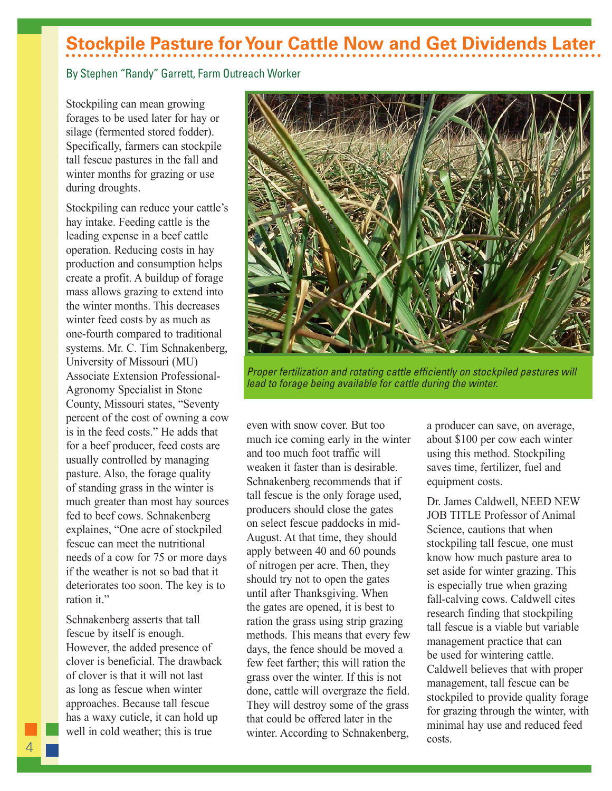## **Stockpile Pasture for Your Cattle Now and Get Dividends Later**

#### By Stephen "Randy" Garrett, Farm Outreach Worker

Stockpiling can mean growing forages to be used later for hay or silage (fermented stored fodder). Specifically, farmers can stockpile tall fescue pastures in the fall and winter months for grazing or use during droughts.

Stockpiling can reduce your cattle's hay intake. Feeding cattle is the leading expense in a beef cattle operation. Reducing costs in hay production and consumption helps create a profit. A buildup of forage mass allows grazing to extend into the winter months. This decreases winter feed costs by as much as one-fourth compared to traditional systems. Mr. C. Tim Schnakenberg, University of Missouri (MU) Associate Extension Professional-Agronomy Specialist in Stone County, Missouri states, "Seventy percent of the cost of owning a cow is in the feed costs." He adds that for a beef producer, feed costs are usually controlled by managing pasture. Also, the forage quality of standing grass in the winter is much greater than most hay sources fed to beef cows. Schnakenberg explaines, "One acre of stockpiled fescue can meet the nutritional needs of a cow for 75 or more days if the weather is not so bad that it deteriorates too soon. The key is to ration it."

Schnakenberg asserts that tall fescue by itself is enough. However, the added presence of clover is beneficial. The drawback of clover is that it will not last as long as fescue when winter approaches. Because tall fescue has a waxy cuticle, it can hold up well in cold weather; this is true



*Proper fertilization and rotating cattle efficiently on stockpiled pastures will lead to forage being available for cattle during the winter.*

even with snow cover. But too much ice coming early in the winter and too much foot traffic will weaken it faster than is desirable. Schnakenberg recommends that if tall fescue is the only forage used, producers should close the gates on select fescue paddocks in mid-August. At that time, they should apply between 40 and 60 pounds of nitrogen per acre. Then, they should try not to open the gates until after Thanksgiving. When the gates are opened, it is best to ration the grass using strip grazing methods. This means that every few days, the fence should be moved a few feet farther; this will ration the grass over the winter. If this is not done, cattle will overgraze the field. They will destroy some of the grass that could be offered later in the winter. According to Schnakenberg,

a producer can save, on average, about \$100 per cow each winter using this method. Stockpiling saves time, fertilizer, fuel and equipment costs.

Dr. James Caldwell, NEED NEW JOB TITLE Professor of Animal Science, cautions that when stockpiling tall fescue, one must know how much pasture area to set aside for winter grazing. This is especially true when grazing fall-calving cows. Caldwell cites research finding that stockpiling tall fescue is a viable but variable management practice that can be used for wintering cattle. Caldwell believes that with proper management, tall fescue can be stockpiled to provide quality forage for grazing through the winter, with minimal hay use and reduced feed costs.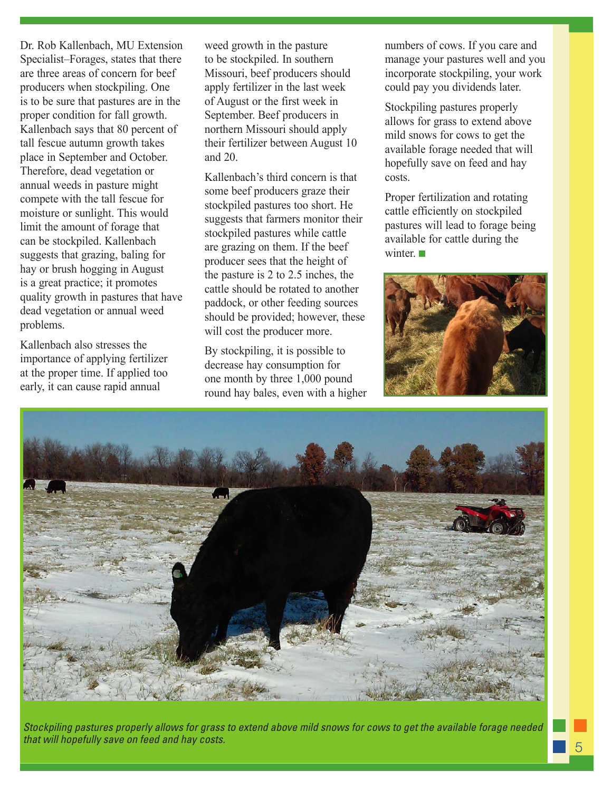Dr. Rob Kallenbach, MU Extension Specialist–Forages, states that there are three areas of concern for beef producers when stockpiling. One is to be sure that pastures are in the proper condition for fall growth. Kallenbach says that 80 percent of tall fescue autumn growth takes place in September and October. Therefore, dead vegetation or annual weeds in pasture might compete with the tall fescue for moisture or sunlight. This would limit the amount of forage that can be stockpiled. Kallenbach suggests that grazing, baling for hay or brush hogging in August is a great practice; it promotes quality growth in pastures that have dead vegetation or annual weed problems.

Kallenbach also stresses the importance of applying fertilizer at the proper time. If applied too early, it can cause rapid annual

weed growth in the pasture to be stockpiled. In southern Missouri, beef producers should apply fertilizer in the last week of August or the first week in September. Beef producers in northern Missouri should apply their fertilizer between August 10 and 20.

Kallenbach's third concern is that some beef producers graze their stockpiled pastures too short. He suggests that farmers monitor their stockpiled pastures while cattle are grazing on them. If the beef producer sees that the height of the pasture is 2 to 2.5 inches, the cattle should be rotated to another paddock, or other feeding sources should be provided; however, these will cost the producer more.

By stockpiling, it is possible to decrease hay consumption for one month by three 1,000 pound round hay bales, even with a higher numbers of cows. If you care and manage your pastures well and you incorporate stockpiling, your work could pay you dividends later.

Stockpiling pastures properly allows for grass to extend above mild snows for cows to get the available forage needed that will hopefully save on feed and hay costs.

Proper fertilization and rotating cattle efficiently on stockpiled pastures will lead to forage being available for cattle during the winter.





*Stockpiling pastures properly allows for grass to extend above mild snows for cows to get the available forage needed that will hopefully save on feed and hay costs.*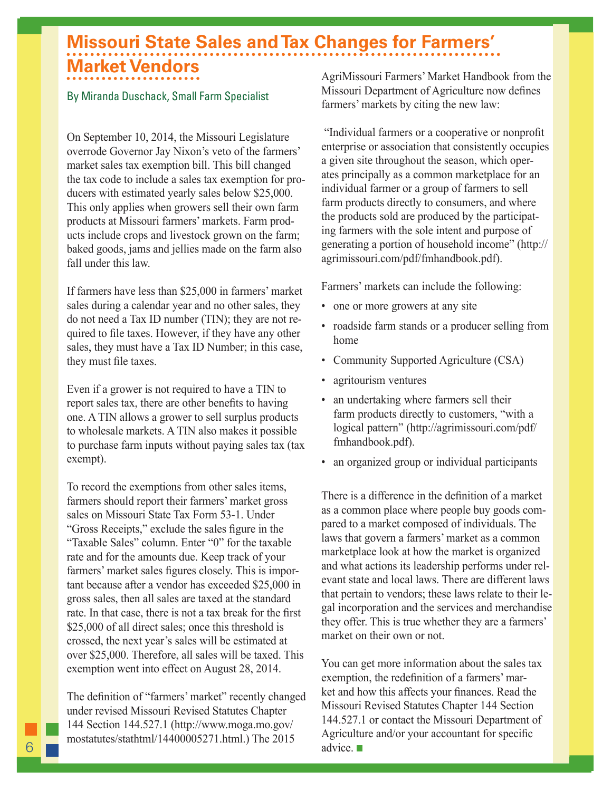## **Missouri State Sales and Tax Changes for Farmers' Market Vendors**

#### By Miranda Duschack, Small Farm Specialist

On September 10, 2014, the Missouri Legislature overrode Governor Jay Nixon's veto of the farmers' market sales tax exemption bill. This bill changed the tax code to include a sales tax exemption for producers with estimated yearly sales below \$25,000. This only applies when growers sell their own farm products at Missouri farmers' markets. Farm products include crops and livestock grown on the farm; baked goods, jams and jellies made on the farm also fall under this law.

If farmers have less than \$25,000 in farmers' market sales during a calendar year and no other sales, they do not need a Tax ID number (TIN); they are not required to file taxes. However, if they have any other sales, they must have a Tax ID Number; in this case, they must file taxes.

Even if a grower is not required to have a TIN to report sales tax, there are other benefits to having one. A TIN allows a grower to sell surplus products to wholesale markets. A TIN also makes it possible to purchase farm inputs without paying sales tax (tax exempt).

To record the exemptions from other sales items, farmers should report their farmers' market gross sales on Missouri State Tax Form 53-1. Under "Gross Receipts," exclude the sales figure in the "Taxable Sales" column. Enter "0" for the taxable rate and for the amounts due. Keep track of your farmers' market sales figures closely. This is important because after a vendor has exceeded \$25,000 in gross sales, then all sales are taxed at the standard rate. In that case, there is not a tax break for the first \$25,000 of all direct sales; once this threshold is crossed, the next year's sales will be estimated at over \$25,000. Therefore, all sales will be taxed. This exemption went into effect on August 28, 2014.

The definition of "farmers' market" recently changed under revised Missouri Revised Statutes Chapter 144 Section 144.527.1 (http://www.moga.mo.gov/ mostatutes/stathtml/14400005271.html.) The 2015

AgriMissouri Farmers' Market Handbook from the Missouri Department of Agriculture now defines farmers' markets by citing the new law:

 "Individual farmers or a cooperative or nonprofit enterprise or association that consistently occupies a given site throughout the season, which operates principally as a common marketplace for an individual farmer or a group of farmers to sell farm products directly to consumers, and where the products sold are produced by the participating farmers with the sole intent and purpose of generating a portion of household income" (http:// agrimissouri.com/pdf/fmhandbook.pdf).

Farmers' markets can include the following:

- one or more growers at any site
- roadside farm stands or a producer selling from home
- Community Supported Agriculture (CSA)
- agritourism ventures
- an undertaking where farmers sell their farm products directly to customers, "with a logical pattern" (http://agrimissouri.com/pdf/ fmhandbook.pdf).
- an organized group or individual participants

There is a difference in the definition of a market as a common place where people buy goods compared to a market composed of individuals. The laws that govern a farmers' market as a common marketplace look at how the market is organized and what actions its leadership performs under relevant state and local laws. There are different laws that pertain to vendors; these laws relate to their legal incorporation and the services and merchandise they offer. This is true whether they are a farmers' market on their own or not.

You can get more information about the sales tax exemption, the redefinition of a farmers' market and how this affects your finances. Read the Missouri Revised Statutes Chapter 144 Section 144.527.1 or contact the Missouri Department of Agriculture and/or your accountant for specific advice.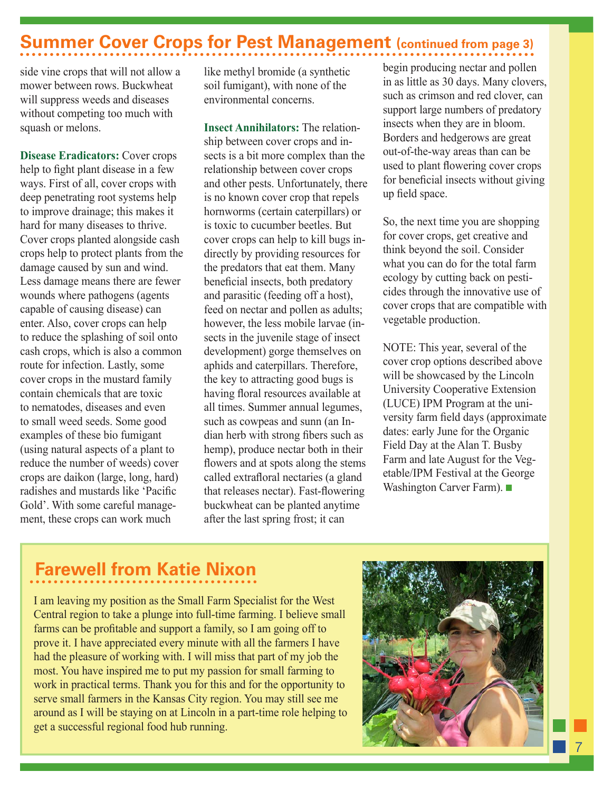### **Summer Cover Crops for Pest Management (continued from page 3)**

side vine crops that will not allow a mower between rows. Buckwheat will suppress weeds and diseases without competing too much with squash or melons.

**Disease Eradicators:** Cover crops help to fight plant disease in a few ways. First of all, cover crops with deep penetrating root systems help to improve drainage; this makes it hard for many diseases to thrive. Cover crops planted alongside cash crops help to protect plants from the damage caused by sun and wind. Less damage means there are fewer wounds where pathogens (agents capable of causing disease) can enter. Also, cover crops can help to reduce the splashing of soil onto cash crops, which is also a common route for infection. Lastly, some cover crops in the mustard family contain chemicals that are toxic to nematodes, diseases and even to small weed seeds. Some good examples of these bio fumigant (using natural aspects of a plant to reduce the number of weeds) cover crops are daikon (large, long, hard) radishes and mustards like 'Pacific Gold'. With some careful management, these crops can work much

like methyl bromide (a synthetic soil fumigant), with none of the environmental concerns.

**Insect Annihilators:** The relationship between cover crops and insects is a bit more complex than the relationship between cover crops and other pests. Unfortunately, there is no known cover crop that repels hornworms (certain caterpillars) or is toxic to cucumber beetles. But cover crops can help to kill bugs indirectly by providing resources for the predators that eat them. Many beneficial insects, both predatory and parasitic (feeding off a host), feed on nectar and pollen as adults; however, the less mobile larvae (insects in the juvenile stage of insect development) gorge themselves on aphids and caterpillars. Therefore, the key to attracting good bugs is having floral resources available at all times. Summer annual legumes, such as cowpeas and sunn (an Indian herb with strong fibers such as hemp), produce nectar both in their flowers and at spots along the stems called extrafloral nectaries (a gland that releases nectar). Fast-flowering buckwheat can be planted anytime after the last spring frost; it can

begin producing nectar and pollen in as little as 30 days. Many clovers, such as crimson and red clover, can support large numbers of predatory insects when they are in bloom. Borders and hedgerows are great out-of-the-way areas than can be used to plant flowering cover crops for beneficial insects without giving up field space.

So, the next time you are shopping for cover crops, get creative and think beyond the soil. Consider what you can do for the total farm ecology by cutting back on pesticides through the innovative use of cover crops that are compatible with vegetable production.

NOTE: This year, several of the cover crop options described above will be showcased by the Lincoln University Cooperative Extension (LUCE) IPM Program at the university farm field days (approximate dates: early June for the Organic Field Day at the Alan T. Busby Farm and late August for the Vegetable/IPM Festival at the George Washington Carver Farm).

### **Farewell from Katie Nixon**

I am leaving my position as the Small Farm Specialist for the West Central region to take a plunge into full-time farming. I believe small farms can be profitable and support a family, so I am going off to prove it. I have appreciated every minute with all the farmers I have had the pleasure of working with. I will miss that part of my job the most. You have inspired me to put my passion for small farming to work in practical terms. Thank you for this and for the opportunity to serve small farmers in the Kansas City region. You may still see me around as I will be staying on at Lincoln in a part-time role helping to get a successful regional food hub running.